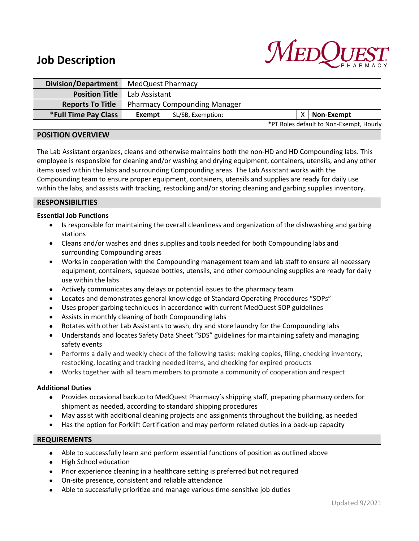# **Job Description**



| <b>Division/Department</b>  | MedQuest Pharmacy                   |                   |  |  |                                         |
|-----------------------------|-------------------------------------|-------------------|--|--|-----------------------------------------|
| <b>Position Title</b>       | Lab Assistant                       |                   |  |  |                                         |
| <b>Reports To Title</b>     | <b>Pharmacy Compounding Manager</b> |                   |  |  |                                         |
| <b>*Full Time Pay Class</b> | Exempt                              | SL/SB, Exemption: |  |  | Non-Exempt                              |
|                             |                                     |                   |  |  | *PT Roles default to Non-Exempt, Hourly |

### **POSITION OVERVIEW**

The Lab Assistant organizes, cleans and otherwise maintains both the non-HD and HD Compounding labs. This employee is responsible for cleaning and/or washing and drying equipment, containers, utensils, and any other items used within the labs and surrounding Compounding areas. The Lab Assistant works with the Compounding team to ensure proper equipment, containers, utensils and supplies are ready for daily use within the labs, and assists with tracking, restocking and/or storing cleaning and garbing supplies inventory.

## **RESPONSIBILITIES**

### **Essential Job Functions**

- Is responsible for maintaining the overall cleanliness and organization of the dishwashing and garbing stations
- Cleans and/or washes and dries supplies and tools needed for both Compounding labs and surrounding Compounding areas
- Works in cooperation with the Compounding management team and lab staff to ensure all necessary equipment, containers, squeeze bottles, utensils, and other compounding supplies are ready for daily use within the labs
- Actively communicates any delays or potential issues to the pharmacy team
- Locates and demonstrates general knowledge of Standard Operating Procedures "SOPs"
- Uses proper garbing techniques in accordance with current MedQuest SOP guidelines
- Assists in monthly cleaning of both Compounding labs
- Rotates with other Lab Assistants to wash, dry and store laundry for the Compounding labs
- Understands and locates Safety Data Sheet "SDS" guidelines for maintaining safety and managing safety events
- Performs a daily and weekly check of the following tasks: making copies, filing, checking inventory, restocking, locating and tracking needed items, and checking for expired products
- Works together with all team members to promote a community of cooperation and respect

#### **Additional Duties**

- Provides occasional backup to MedQuest Pharmacy's shipping staff, preparing pharmacy orders for shipment as needed, according to standard shipping procedures
- May assist with additional cleaning projects and assignments throughout the building, as needed
- Has the option for Forklift Certification and may perform related duties in a back-up capacity

#### **REQUIREMENTS**

- Able to successfully learn and perform essential functions of position as outlined above
- High School education
- Prior experience cleaning in a healthcare setting is preferred but not required
- On-site presence, consistent and reliable attendance
- Able to successfully prioritize and manage various time-sensitive job duties